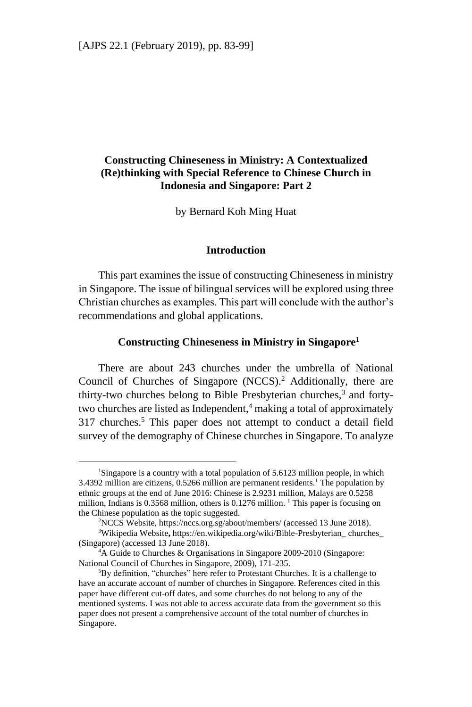# **Constructing Chineseness in Ministry: A Contextualized (Re)thinking with Special Reference to Chinese Church in Indonesia and Singapore: Part 2**

by Bernard Koh Ming Huat

## **Introduction**

This part examines the issue of constructing Chineseness in ministry in Singapore. The issue of bilingual services will be explored using three Christian churches as examples. This part will conclude with the author's recommendations and global applications.

## **Constructing Chineseness in Ministry in Singapore<sup>1</sup>**

There are about 243 churches under the umbrella of National Council of Churches of Singapore (NCCS).<sup>2</sup> Additionally, there are thirty-two churches belong to Bible Presbyterian churches,<sup>3</sup> and fortytwo churches are listed as Independent,<sup>4</sup> making a total of approximately 317 churches.<sup>5</sup> This paper does not attempt to conduct a detail field survey of the demography of Chinese churches in Singapore. To analyze

<sup>&</sup>lt;sup>1</sup>Singapore is a country with a total population of 5.6123 million people, in which 3.4392 million are citizens,  $0.5266$  million are permanent residents.<sup>1</sup> The population by ethnic groups at the end of June 2016: Chinese is 2.9231 million, Malays are 0.5258 million, Indians is 0.3568 million, others is 0.1276 million. <sup>1</sup> This paper is focusing on the Chinese population as the topic suggested.

<sup>2</sup>NCCS Website[, https://nccs.org.sg/about/members/](https://nccs.org.sg/about/members/) (accessed 13 June 2018).

<sup>3</sup>Wikipedia Website**,** https://en.wikipedia.org/wiki/Bible-Presbyterian\_ churches\_ (Singapore) (accessed 13 June 2018).

<sup>&</sup>lt;sup>4</sup>A Guide to Churches & Organisations in Singapore 2009-2010 (Singapore: National Council of Churches in Singapore, 2009), 171-235.

<sup>5</sup>By definition, "churches" here refer to Protestant Churches. It is a challenge to have an accurate account of number of churches in Singapore. References cited in this paper have different cut-off dates, and some churches do not belong to any of the mentioned systems. I was not able to access accurate data from the government so this paper does not present a comprehensive account of the total number of churches in Singapore.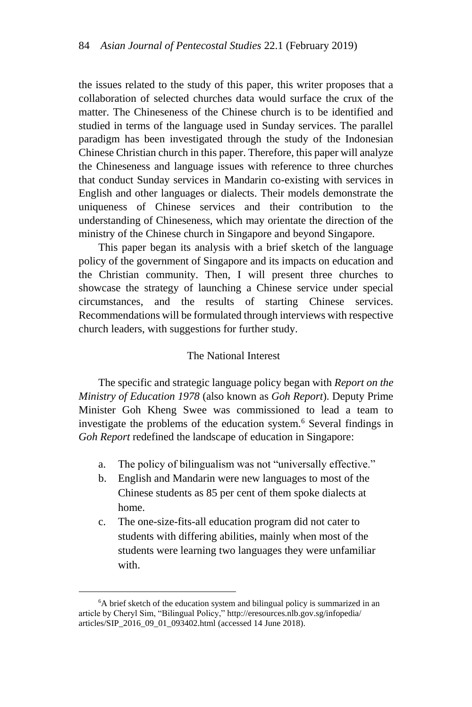the issues related to the study of this paper, this writer proposes that a collaboration of selected churches data would surface the crux of the matter. The Chineseness of the Chinese church is to be identified and studied in terms of the language used in Sunday services. The parallel paradigm has been investigated through the study of the Indonesian Chinese Christian church in this paper. Therefore, this paper will analyze the Chineseness and language issues with reference to three churches that conduct Sunday services in Mandarin co-existing with services in English and other languages or dialects. Their models demonstrate the uniqueness of Chinese services and their contribution to the understanding of Chineseness, which may orientate the direction of the ministry of the Chinese church in Singapore and beyond Singapore.

This paper began its analysis with a brief sketch of the language policy of the government of Singapore and its impacts on education and the Christian community. Then, I will present three churches to showcase the strategy of launching a Chinese service under special circumstances, and the results of starting Chinese services. Recommendations will be formulated through interviews with respective church leaders, with suggestions for further study.

## The National Interest

The specific and strategic language policy began with *Report on the Ministry of Education 1978* (also known as *Goh Report*). Deputy Prime Minister Goh Kheng Swee was commissioned to lead a team to investigate the problems of the education system.<sup>6</sup> Several findings in *Goh Report* redefined the landscape of education in Singapore:

- a. The policy of bilingualism was not "universally effective."
- b. English and Mandarin were new languages to most of the Chinese students as 85 per cent of them spoke dialects at home.
- c. The one-size-fits-all education program did not cater to students with differing abilities, mainly when most of the students were learning two languages they were unfamiliar with.

<sup>&</sup>lt;sup>6</sup>A brief sketch of the education system and bilingual policy is summarized in an article by Cheryl Sim, "Bilingual Policy," [http://eresources.nlb.gov.sg/infopedia/](http://eresources.nlb.gov.sg/infopedia/%20articles/SIP_2016_09_01_093402.html)  [articles/SIP\\_2016\\_09\\_01\\_093402.html](http://eresources.nlb.gov.sg/infopedia/%20articles/SIP_2016_09_01_093402.html) (accessed 14 June 2018).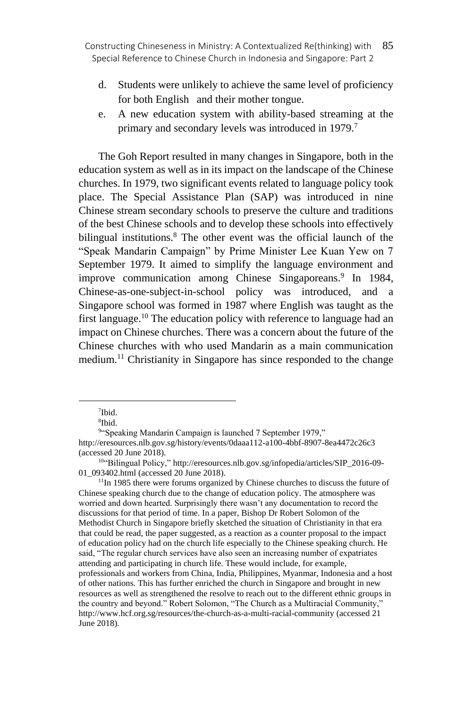- d. Students were unlikely to achieve the same level of proficiency for both English and their mother tongue.
- e. A new education system with ability-based streaming at the primary and secondary levels was introduced in 1979.<sup>7</sup>

The Goh Report resulted in many changes in Singapore, both in the education system as well as in its impact on the landscape of the Chinese churches. In 1979, two significant events related to language policy took place. The Special Assistance Plan (SAP) was introduced in nine Chinese stream secondary schools to preserve the culture and traditions of the best Chinese schools and to develop these schools into effectively bilingual institutions.<sup>8</sup> The other event was the official launch of the "Speak Mandarin Campaign" by Prime Minister Lee Kuan Yew on 7 September 1979. It aimed to simplify the language environment and improve communication among Chinese Singaporeans.<sup>9</sup> In 1984, Chinese-as-one-subject-in-school policy was introduced, and a Singapore school was formed in 1987 where English was taught as the first language.<sup>10</sup> The education policy with reference to language had an impact on Chinese churches. There was a concern about the future of the Chinese churches with who used Mandarin as a main communication medium.<sup>11</sup> Christianity in Singapore has since responded to the change

<sup>11</sup>In 1985 there were forums organized by Chinese churches to discuss the future of Chinese speaking church due to the change of education policy. The atmosphere was worried and down hearted. Surprisingly there wasn't any documentation to record the discussions for that period of time. In a paper, Bishop Dr Robert Solomon of the Methodist Church in Singapore briefly sketched the situation of Christianity in that era that could be read, the paper suggested, as a reaction as a counter proposal to the impact of education policy had on the church life especially to the Chinese speaking church. He said, "The regular church services have also seen an increasing number of expatriates attending and participating in church life. These would include, for example, professionals and workers from China, India, Philippines, Myanmar, Indonesia and a host of other nations. This has further enriched the church in Singapore and brought in new resources as well as strengthened the resolve to reach out to the different ethnic groups in the country and beyond." Robert Solomon, "The Church as a Multiracial Community," http://www.hcf.org.sg/resources/the-church-as-a-multi-racial-community (accessed 21 June 2018).

<sup>7</sup> Ibid.

<sup>8</sup> Ibid.

<sup>9</sup> "Speaking Mandarin Campaign is launched 7 September 1979," http://eresources.nlb.gov.sg/history/ev[ents/0daaa112-a100-4bbf-8907-8ea4472c26c3](http://eresources.nlb.gov.sg/history/events/0daaa112-a100-4bbf-8907-8ea4472c26c3)  (accessed 20 June 2018).

<sup>&</sup>lt;sup>10"</sup>Bilingual Policy," [http://eresources.nlb.gov.sg/infopedia/articles/SIP\\_2016-09-](http://eresources.nlb.gov.sg/infopedia/articles/SIP_2016-09-01_093402.html) [01\\_093402.html](http://eresources.nlb.gov.sg/infopedia/articles/SIP_2016-09-01_093402.html) (accessed 20 June 2018).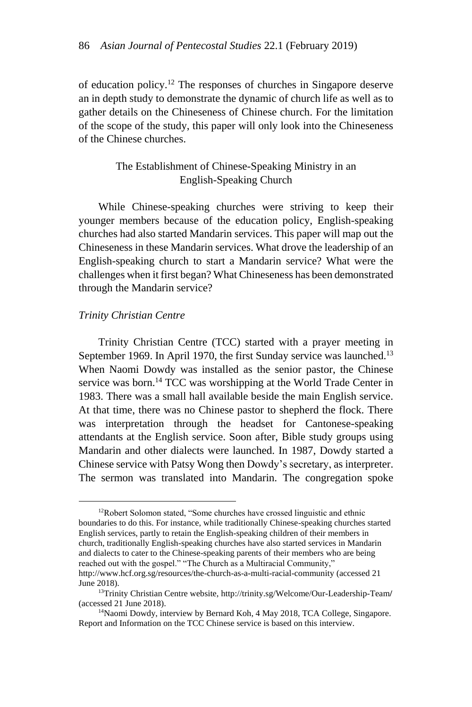of education policy.<sup>12</sup> The responses of churches in Singapore deserve an in depth study to demonstrate the dynamic of church life as well as to gather details on the Chineseness of Chinese church. For the limitation of the scope of the study, this paper will only look into the Chineseness of the Chinese churches.

# The Establishment of Chinese-Speaking Ministry in an English-Speaking Church

While Chinese-speaking churches were striving to keep their younger members because of the education policy, English-speaking churches had also started Mandarin services. This paper will map out the Chineseness in these Mandarin services. What drove the leadership of an English-speaking church to start a Mandarin service? What were the challenges when it first began? What Chineseness has been demonstrated through the Mandarin service?

## *Trinity Christian Centre*

Trinity Christian Centre (TCC) started with a prayer meeting in September 1969. In April 1970, the first Sunday service was launched.<sup>13</sup> When Naomi Dowdy was installed as the senior pastor, the Chinese service was born.<sup>14</sup> TCC was worshipping at the World Trade Center in 1983. There was a small hall available beside the main English service. At that time, there was no Chinese pastor to shepherd the flock. There was interpretation through the headset for Cantonese-speaking attendants at the English service. Soon after, Bible study groups using Mandarin and other dialects were launched. In 1987, Dowdy started a Chinese service with Patsy Wong then Dowdy's secretary, as interpreter. The sermon was translated into Mandarin. The congregation spoke

<sup>&</sup>lt;sup>12</sup>Robert Solomon stated, "Some churches have crossed linguistic and ethnic boundaries to do this. For instance, while traditionally Chinese-speaking churches started English services, partly to retain the English-speaking children of their members in church, traditionally English-speaking churches have also started services in Mandarin and dialects to cater to the Chinese-speaking parents of their members who are being reached out with the gospel." "The Church as a Multiracial Community,"

<http://www.hcf.org.sg/resources/the-church-as-a-multi-racial-community> (accessed 21 June 2018).

<sup>13</sup>Trinity Christian Centre website, [http://trinity.sg/Welcome/Our-Leadership-Team](http://trinity.sg/Welcome/Our-Leadership-Team/)**/** (accessed 21 June 2018).

<sup>&</sup>lt;sup>14</sup>Naomi Dowdy, interview by Bernard Koh, 4 May 2018, TCA College, Singapore. Report and Information on the TCC Chinese service is based on this interview.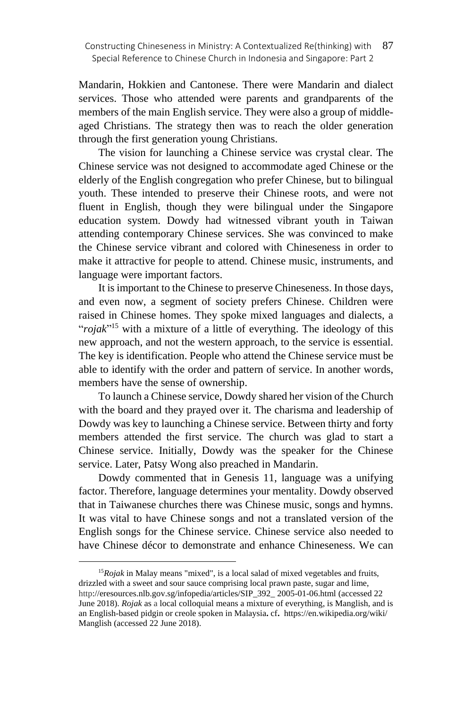Mandarin, Hokkien and Cantonese. There were Mandarin and dialect services. Those who attended were parents and grandparents of the members of the main English service. They were also a group of middleaged Christians. The strategy then was to reach the older generation through the first generation young Christians.

The vision for launching a Chinese service was crystal clear. The Chinese service was not designed to accommodate aged Chinese or the elderly of the English congregation who prefer Chinese, but to bilingual youth. These intended to preserve their Chinese roots, and were not fluent in English, though they were bilingual under the Singapore education system. Dowdy had witnessed vibrant youth in Taiwan attending contemporary Chinese services. She was convinced to make the Chinese service vibrant and colored with Chineseness in order to make it attractive for people to attend. Chinese music, instruments, and language were important factors.

It is important to the Chinese to preserve Chineseness. In those days, and even now, a segment of society prefers Chinese. Children were raised in Chinese homes. They spoke mixed languages and dialects, a "*rojak*"<sup>15</sup> with a mixture of a little of everything. The ideology of this new approach, and not the western approach, to the service is essential. The key is identification. People who attend the Chinese service must be able to identify with the order and pattern of service. In another words, members have the sense of ownership.

To launch a Chinese service, Dowdy shared her vision of the Church with the board and they prayed over it. The charisma and leadership of Dowdy was key to launching a Chinese service. Between thirty and forty members attended the first service. The church was glad to start a Chinese service. Initially, Dowdy was the speaker for the Chinese service. Later, Patsy Wong also preached in Mandarin.

Dowdy commented that in Genesis 11, language was a unifying factor. Therefore, language determines your mentality. Dowdy observed that in Taiwanese churches there was Chinese music, songs and hymns. It was vital to have Chinese songs and not a translated version of the English songs for the Chinese service. Chinese service also needed to have Chinese décor to demonstrate and enhance Chineseness. We can

<sup>15</sup>*Rojak* in Malay means "mixed", is a local salad of mixed vegetables and fruits, drizzled with a sweet and sour sauce comprising local prawn paste, sugar and lime, http://eresources.nlb.gov.sg/infopedia/articles/SIP\_392\_ [2005-01-06.html](http://eresources.nlb.gov.sg/infopedia/articles/SIP_392_2005-01-06.html) (accessed 22 June 2018). *Rojak* as a local colloquial means a mixture of everything, is Manglish, and is an English-based [pidgin](https://en.wikipedia.org/wiki/Pidgin) or [creole](https://en.wikipedia.org/wiki/Creole_language) spoken in [Malaysia](https://en.wikipedia.org/wiki/Malaysia)**.** cf**.** https://en.wikipedia.org/wiki/ Manglish (accessed 22 June 2018).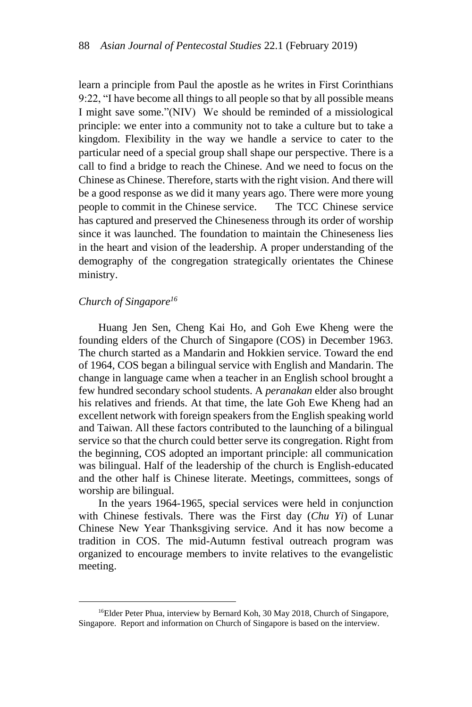learn a principle from Paul the apostle as he writes in First Corinthians 9:22, "I have become all things to all people so that by all possible means I might save some."(NIV) We should be reminded of a missiological principle: we enter into a community not to take a culture but to take a kingdom. Flexibility in the way we handle a service to cater to the particular need of a special group shall shape our perspective. There is a call to find a bridge to reach the Chinese. And we need to focus on the Chinese as Chinese. Therefore, starts with the right vision. And there will be a good response as we did it many years ago. There were more young people to commit in the Chinese service. The TCC Chinese service has captured and preserved the Chineseness through its order of worship since it was launched. The foundation to maintain the Chineseness lies in the heart and vision of the leadership. A proper understanding of the demography of the congregation strategically orientates the Chinese ministry.

# *Church of Singapore<sup>16</sup>*

Huang Jen Sen, Cheng Kai Ho, and Goh Ewe Kheng were the founding elders of the Church of Singapore (COS) in December 1963. The church started as a Mandarin and Hokkien service. Toward the end of 1964, COS began a bilingual service with English and Mandarin. The change in language came when a teacher in an English school brought a few hundred secondary school students. A *peranakan* elder also brought his relatives and friends. At that time, the late Goh Ewe Kheng had an excellent network with foreign speakers from the English speaking world and Taiwan. All these factors contributed to the launching of a bilingual service so that the church could better serve its congregation. Right from the beginning, COS adopted an important principle: all communication was bilingual. Half of the leadership of the church is English-educated and the other half is Chinese literate. Meetings, committees, songs of worship are bilingual.

In the years 1964-1965, special services were held in conjunction with Chinese festivals. There was the First day (*Chu Yi*) of Lunar Chinese New Year Thanksgiving service. And it has now become a tradition in COS. The mid-Autumn festival outreach program was organized to encourage members to invite relatives to the evangelistic meeting.

<sup>&</sup>lt;sup>16</sup>Elder Peter Phua, interview by Bernard Koh, 30 May 2018, Church of Singapore, Singapore. Report and information on Church of Singapore is based on the interview.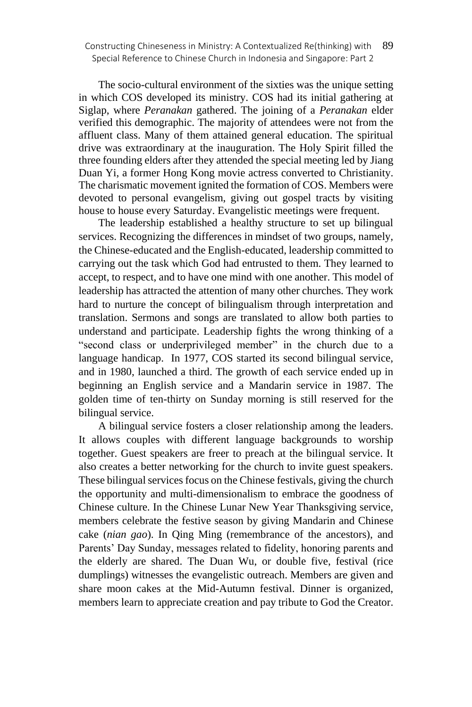The socio-cultural environment of the sixties was the unique setting in which COS developed its ministry. COS had its initial gathering at Siglap, where *Peranakan* gathered. The joining of a *Peranakan* elder verified this demographic. The majority of attendees were not from the affluent class. Many of them attained general education. The spiritual drive was extraordinary at the inauguration. The Holy Spirit filled the three founding elders after they attended the special meeting led by Jiang Duan Yi, a former Hong Kong movie actress converted to Christianity. The charismatic movement ignited the formation of COS. Members were devoted to personal evangelism, giving out gospel tracts by visiting house to house every Saturday. Evangelistic meetings were frequent.

The leadership established a healthy structure to set up bilingual services. Recognizing the differences in mindset of two groups, namely, the Chinese-educated and the English-educated, leadership committed to carrying out the task which God had entrusted to them. They learned to accept, to respect, and to have one mind with one another. This model of leadership has attracted the attention of many other churches. They work hard to nurture the concept of bilingualism through interpretation and translation. Sermons and songs are translated to allow both parties to understand and participate. Leadership fights the wrong thinking of a "second class or underprivileged member" in the church due to a language handicap. In 1977, COS started its second bilingual service, and in 1980, launched a third. The growth of each service ended up in beginning an English service and a Mandarin service in 1987. The golden time of ten-thirty on Sunday morning is still reserved for the bilingual service.

A bilingual service fosters a closer relationship among the leaders. It allows couples with different language backgrounds to worship together. Guest speakers are freer to preach at the bilingual service. It also creates a better networking for the church to invite guest speakers. These bilingual services focus on the Chinese festivals, giving the church the opportunity and multi-dimensionalism to embrace the goodness of Chinese culture. In the Chinese Lunar New Year Thanksgiving service, members celebrate the festive season by giving Mandarin and Chinese cake (*nian gao*). In Qing Ming (remembrance of the ancestors), and Parents' Day Sunday, messages related to fidelity, honoring parents and the elderly are shared. The Duan Wu, or double five, festival (rice dumplings) witnesses the evangelistic outreach. Members are given and share moon cakes at the Mid-Autumn festival. Dinner is organized, members learn to appreciate creation and pay tribute to God the Creator.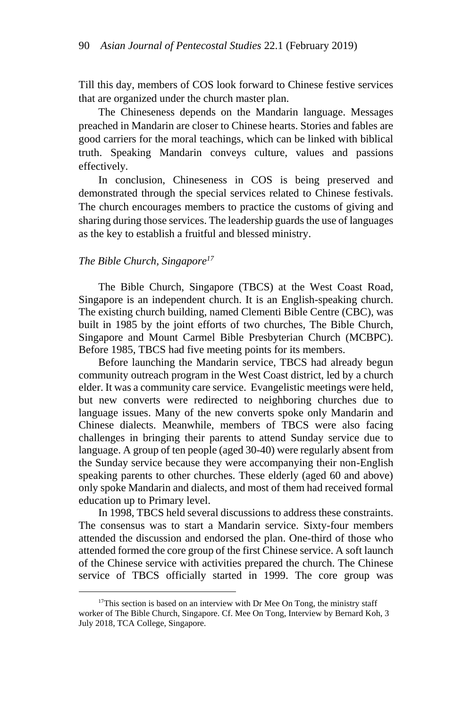Till this day, members of COS look forward to Chinese festive services that are organized under the church master plan.

The Chineseness depends on the Mandarin language. Messages preached in Mandarin are closer to Chinese hearts. Stories and fables are good carriers for the moral teachings, which can be linked with biblical truth. Speaking Mandarin conveys culture, values and passions effectively.

In conclusion, Chineseness in COS is being preserved and demonstrated through the special services related to Chinese festivals. The church encourages members to practice the customs of giving and sharing during those services. The leadership guards the use of languages as the key to establish a fruitful and blessed ministry.

## *The Bible Church, Singapore<sup>17</sup>*

The Bible Church, Singapore (TBCS) at the West Coast Road, Singapore is an independent church. It is an English-speaking church. The existing church building, named Clementi Bible Centre (CBC), was built in 1985 by the joint efforts of two churches, The Bible Church, Singapore and Mount Carmel Bible Presbyterian Church (MCBPC). Before 1985, TBCS had five meeting points for its members.

Before launching the Mandarin service, TBCS had already begun community outreach program in the West Coast district, led by a church elder. It was a community care service. Evangelistic meetings were held, but new converts were redirected to neighboring churches due to language issues. Many of the new converts spoke only Mandarin and Chinese dialects. Meanwhile, members of TBCS were also facing challenges in bringing their parents to attend Sunday service due to language. A group of ten people (aged 30-40) were regularly absent from the Sunday service because they were accompanying their non-English speaking parents to other churches. These elderly (aged 60 and above) only spoke Mandarin and dialects, and most of them had received formal education up to Primary level.

In 1998, TBCS held several discussions to address these constraints. The consensus was to start a Mandarin service. Sixty-four members attended the discussion and endorsed the plan. One-third of those who attended formed the core group of the first Chinese service. A soft launch of the Chinese service with activities prepared the church. The Chinese service of TBCS officially started in 1999. The core group was

 $17$ This section is based on an interview with Dr Mee On Tong, the ministry staff worker of The Bible Church, Singapore. Cf. Mee On Tong, Interview by Bernard Koh, 3 July 2018, TCA College, Singapore.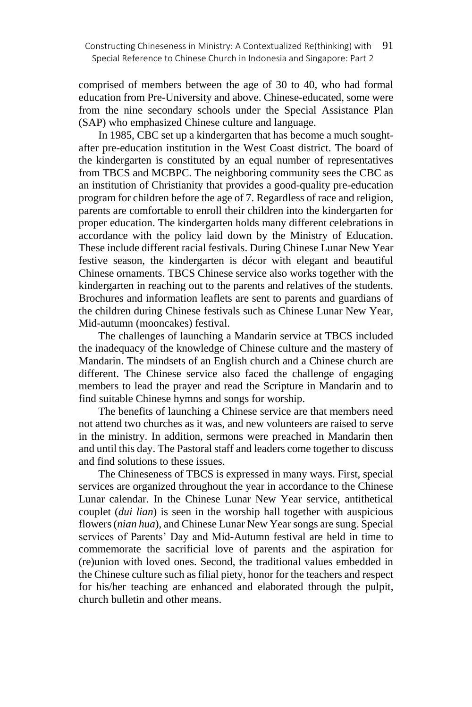comprised of members between the age of 30 to 40, who had formal education from Pre-University and above. Chinese-educated, some were from the nine secondary schools under the Special Assistance Plan (SAP) who emphasized Chinese culture and language.

In 1985, CBC set up a kindergarten that has become a much soughtafter pre-education institution in the West Coast district. The board of the kindergarten is constituted by an equal number of representatives from TBCS and MCBPC. The neighboring community sees the CBC as an institution of Christianity that provides a good-quality pre-education program for children before the age of 7. Regardless of race and religion, parents are comfortable to enroll their children into the kindergarten for proper education. The kindergarten holds many different celebrations in accordance with the policy laid down by the Ministry of Education. These include different racial festivals. During Chinese Lunar New Year festive season, the kindergarten is décor with elegant and beautiful Chinese ornaments. TBCS Chinese service also works together with the kindergarten in reaching out to the parents and relatives of the students. Brochures and information leaflets are sent to parents and guardians of the children during Chinese festivals such as Chinese Lunar New Year, Mid-autumn (mooncakes) festival.

The challenges of launching a Mandarin service at TBCS included the inadequacy of the knowledge of Chinese culture and the mastery of Mandarin. The mindsets of an English church and a Chinese church are different. The Chinese service also faced the challenge of engaging members to lead the prayer and read the Scripture in Mandarin and to find suitable Chinese hymns and songs for worship.

The benefits of launching a Chinese service are that members need not attend two churches as it was, and new volunteers are raised to serve in the ministry. In addition, sermons were preached in Mandarin then and until this day. The Pastoral staff and leaders come together to discuss and find solutions to these issues.

The Chineseness of TBCS is expressed in many ways. First, special services are organized throughout the year in accordance to the Chinese Lunar calendar. In the Chinese Lunar New Year service, antithetical couplet (*dui lian*) is seen in the worship hall together with auspicious flowers (*nian hua*), and Chinese Lunar New Year songs are sung. Special services of Parents' Day and Mid-Autumn festival are held in time to commemorate the sacrificial love of parents and the aspiration for (re)union with loved ones. Second, the traditional values embedded in the Chinese culture such as filial piety, honor for the teachers and respect for his/her teaching are enhanced and elaborated through the pulpit, church bulletin and other means.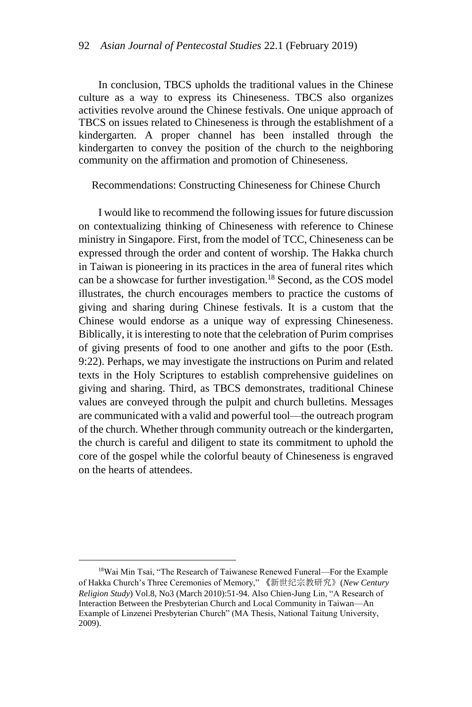In conclusion, TBCS upholds the traditional values in the Chinese culture as a way to express its Chineseness. TBCS also organizes activities revolve around the Chinese festivals. One unique approach of TBCS on issues related to Chineseness is through the establishment of a kindergarten. A proper channel has been installed through the kindergarten to convey the position of the church to the neighboring community on the affirmation and promotion of Chineseness.

Recommendations: Constructing Chineseness for Chinese Church

I would like to recommend the following issues for future discussion on contextualizing thinking of Chineseness with reference to Chinese ministry in Singapore. First, from the model of TCC, Chineseness can be expressed through the order and content of worship. The Hakka church in Taiwan is pioneering in its practices in the area of funeral rites which can be a showcase for further investigation.<sup>18</sup> Second, as the COS model illustrates, the church encourages members to practice the customs of giving and sharing during Chinese festivals. It is a custom that the Chinese would endorse as a unique way of expressing Chineseness. Biblically, it is interesting to note that the celebration of Purim comprises of giving presents of food to one another and gifts to the poor (Esth. 9:22). Perhaps, we may investigate the instructions on Purim and related texts in the Holy Scriptures to establish comprehensive guidelines on giving and sharing. Third, as TBCS demonstrates, traditional Chinese values are conveyed through the pulpit and church bulletins. Messages are communicated with a valid and powerful tool—the outreach program of the church. Whether through community outreach or the kindergarten, the church is careful and diligent to state its commitment to uphold the core of the gospel while the colorful beauty of Chineseness is engraved on the hearts of attendees.

<sup>&</sup>lt;sup>18</sup>Wai Min Tsai, "The Research of Taiwanese Renewed Funeral—For the Example of Hakka Church's Three Ceremonies of Memory," 《新世纪宗教研究》(*New Century Religion Study*) Vol.8, No3 (March 2010):51-94. Also Chien-Jung Lin, "A Research of Interaction Between the Presbyterian Church and Local Community in Taiwan—An Example of Linzenei Presbyterian Church" (MA Thesis, National Taitung University, 2009).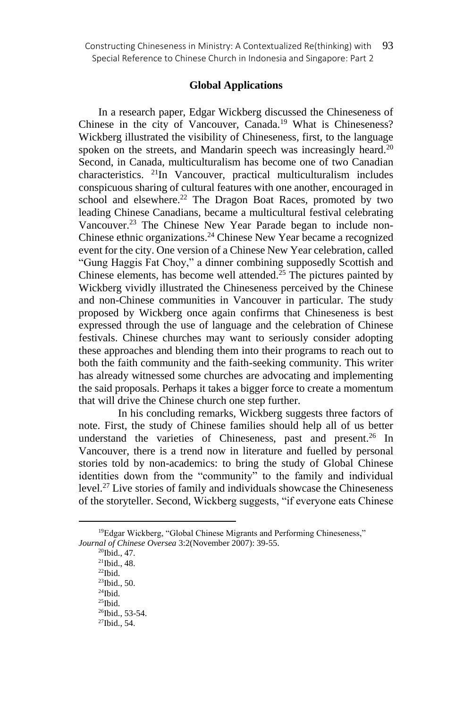## **Global Applications**

In a research paper, Edgar Wickberg discussed the Chineseness of Chinese in the city of Vancouver, Canada.<sup>19</sup> What is Chineseness? Wickberg illustrated the visibility of Chineseness, first, to the language spoken on the streets, and Mandarin speech was increasingly heard.<sup>20</sup> Second, in Canada, multiculturalism has become one of two Canadian characteristics. <sup>21</sup>In Vancouver, practical multiculturalism includes conspicuous sharing of cultural features with one another, encouraged in school and elsewhere.<sup>22</sup> The Dragon Boat Races, promoted by two leading Chinese Canadians, became a multicultural festival celebrating Vancouver.<sup>23</sup> The Chinese New Year Parade began to include non-Chinese ethnic organizations.<sup>24</sup> Chinese New Year became a recognized event for the city. One version of a Chinese New Year celebration, called "Gung Haggis Fat Choy," a dinner combining supposedly Scottish and Chinese elements, has become well attended.<sup>25</sup> The pictures painted by Wickberg vividly illustrated the Chineseness perceived by the Chinese and non-Chinese communities in Vancouver in particular. The study proposed by Wickberg once again confirms that Chineseness is best expressed through the use of language and the celebration of Chinese festivals. Chinese churches may want to seriously consider adopting these approaches and blending them into their programs to reach out to both the faith community and the faith-seeking community. This writer has already witnessed some churches are advocating and implementing the said proposals. Perhaps it takes a bigger force to create a momentum that will drive the Chinese church one step further.

In his concluding remarks, Wickberg suggests three factors of note. First, the study of Chinese families should help all of us better understand the varieties of Chineseness, past and present.<sup>26</sup> In Vancouver, there is a trend now in literature and fuelled by personal stories told by non-academics: to bring the study of Global Chinese identities down from the "community" to the family and individual level.<sup>27</sup> Live stories of family and individuals showcase the Chineseness of the storyteller. Second, Wickberg suggests, "if everyone eats Chinese

<sup>20</sup>Ibid., 47.

<sup>&</sup>lt;sup>19</sup>Edgar Wickberg, "Global Chinese Migrants and Performing Chineseness," *Journal of Chinese Oversea* 3:2(November 2007): 39-55.

<sup>21</sup>Ibid., 48.

 $\rm ^{22}Ibid.$ 

<sup>23</sup>Ibid., 50.

 $\rm{^{\text{24}}}$  Ibid.

 $25$ Ibid. <sup>26</sup>Ibid., 53-54.

<sup>27</sup>Ibid., 54.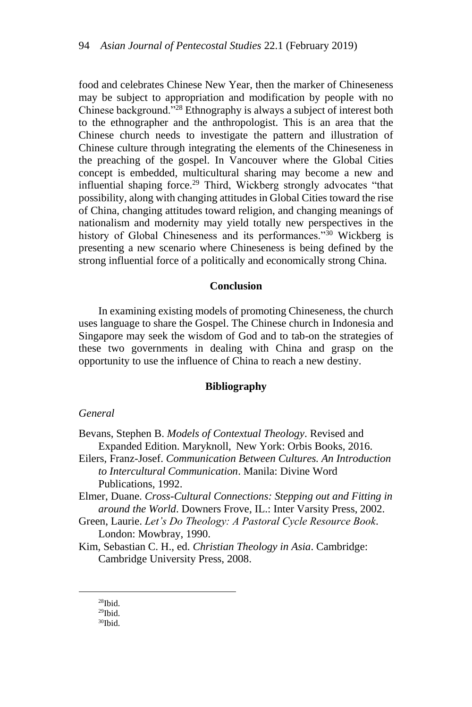food and celebrates Chinese New Year, then the marker of Chineseness may be subject to appropriation and modification by people with no Chinese background."<sup>28</sup> Ethnography is always a subject of interest both to the ethnographer and the anthropologist. This is an area that the Chinese church needs to investigate the pattern and illustration of Chinese culture through integrating the elements of the Chineseness in the preaching of the gospel. In Vancouver where the Global Cities concept is embedded, multicultural sharing may become a new and influential shaping force.<sup>29</sup> Third, Wickberg strongly advocates "that possibility, along with changing attitudes in Global Cities toward the rise of China, changing attitudes toward religion, and changing meanings of nationalism and modernity may yield totally new perspectives in the history of Global Chineseness and its performances."<sup>30</sup> Wickberg is presenting a new scenario where Chineseness is being defined by the strong influential force of a politically and economically strong China.

## **Conclusion**

In examining existing models of promoting Chineseness, the church uses language to share the Gospel. The Chinese church in Indonesia and Singapore may seek the wisdom of God and to tab-on the strategies of these two governments in dealing with China and grasp on the opportunity to use the influence of China to reach a new destiny.

#### **Bibliography**

#### *General*

- Bevans, Stephen B. *Models of Contextual Theology*. Revised and Expanded Edition. Maryknoll, New York: Orbis Books, 2016.
- Eilers, Franz-Josef. *Communication Between Cultures. An Introduction to Intercultural Communication*. Manila: Divine Word Publications, 1992.

Elmer, Duane. *Cross-Cultural Connections: Stepping out and Fitting in around the World*. Downers Frove, IL.: Inter Varsity Press, 2002.

Green, Laurie. *Let's Do Theology: A Pastoral Cycle Resource Book*. London: Mowbray, 1990.

- Kim, Sebastian C. H., ed. *Christian Theology in Asia*. Cambridge: Cambridge University Press, 2008.
	- $28$ Ibid.

<sup>29</sup>Ibid.

<sup>30</sup>Ibid.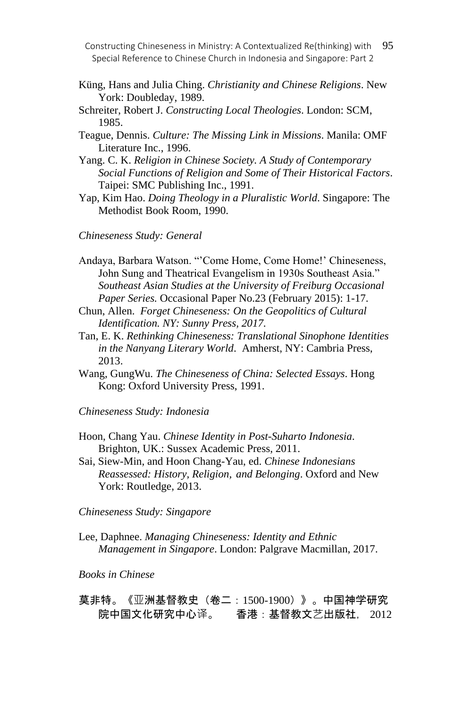Constructing Chineseness in Ministry: A Contextualized Re(thinking) with 95 Special Reference to Chinese Church in Indonesia and Singapore: Part 2

- Küng, Hans and Julia Ching. *Christianity and Chinese Religions*. New York: Doubleday, 1989.
- Schreiter, Robert J. *Constructing Local Theologies*. London: SCM, 1985.
- Teague, Dennis. *Culture: The Missing Link in Missions*. Manila: OMF Literature Inc., 1996.
- Yang. C. K. *Religion in Chinese Society. A Study of Contemporary Social Functions of Religion and Some of Their Historical Factors*. Taipei: SMC Publishing Inc., 1991.
- Yap, Kim Hao. *Doing Theology in a Pluralistic World*. Singapore: The Methodist Book Room, 1990.
- *Chineseness Study: General*
- Andaya, Barbara Watson. "'Come Home, Come Home!' Chineseness, John Sung and Theatrical Evangelism in 1930s Southeast Asia." *Southeast Asian Studies at the University of Freiburg Occasional Paper Series.* Occasional Paper No.23 (February 2015): 1-17.
- Chun, Allen. *Forget Chineseness: On the Geopolitics of Cultural Identification. NY: Sunny Press, 2017.*
- Tan, E. K. *Rethinking Chineseness: Translational Sinophone Identities in the Nanyang Literary World*. Amherst, NY: Cambria Press, 2013.
- Wang, GungWu. *The Chineseness of China: Selected Essays*. Hong Kong: Oxford University Press, 1991.

*Chineseness Study: Indonesia*

- Hoon, Chang Yau. *Chinese Identity in Post-Suharto Indonesia*. Brighton, UK.: Sussex Academic Press, 2011.
- Sai, Siew-Min, and Hoon Chang-Yau, ed. *Chinese Indonesians Reassessed: History, Religion, and Belonging*. Oxford and New York: Routledge, 2013.

*Chineseness Study: Singapore*

Lee, Daphnee. *Managing Chineseness: Identity and Ethnic Management in Singapore*. London: Palgrave Macmillan, 2017.

# *Books in Chinese*

莫非特。《亚洲基督教史(卷二:1500-1900)》。中国神学研究 院中国文化研究中心译。 香港:基督教文艺出版社, 2012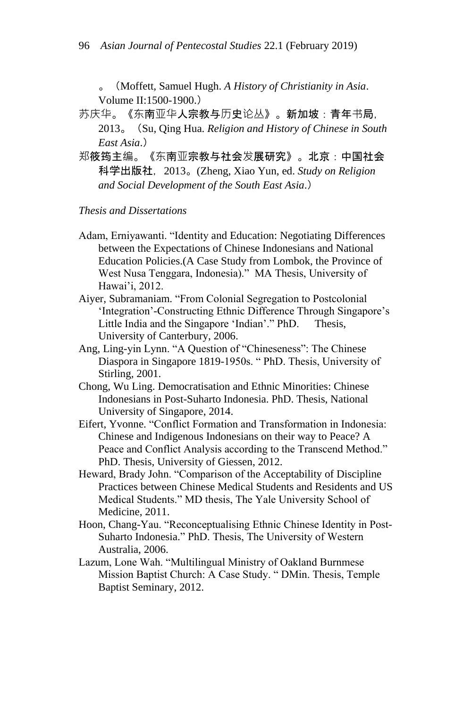。(Moffett, Samuel Hugh. *A History of Christianity in Asia*. Volume II:1500-1900.)

苏庆华。《东南亚华人宗教与历史论丛》。新加坡:青年书局,

- 2013。(Su, Qing Hua. *Religion and History of Chinese in South East Asia*.)
- 郑筱筠主编。《东南亚宗教与社会发展研究》。北京:中国社会 科学出版社,2013。(Zheng, Xiao Yun, ed. *Study on Religion and Social Development of the South East Asia*.)

# *Thesis and Dissertations*

- Adam, Erniyawanti. "Identity and Education: Negotiating Differences between the Expectations of Chinese Indonesians and National Education Policies.(A Case Study from Lombok, the Province of West Nusa Tenggara, Indonesia)." MA Thesis, University of Hawai'i, 2012.
- Aiyer, Subramaniam. "From Colonial Segregation to Postcolonial 'Integration'-Constructing Ethnic Difference Through Singapore's Little India and the Singapore 'Indian'." PhD. Thesis, University of Canterbury, 2006.
- Ang, Ling-yin Lynn. "A Question of "Chineseness": The Chinese Diaspora in Singapore 1819-1950s. " PhD. Thesis, University of Stirling, 2001.
- Chong, Wu Ling. Democratisation and Ethnic Minorities: Chinese Indonesians in Post-Suharto Indonesia. PhD. Thesis, National University of Singapore, 2014.
- Eifert, Yvonne. "Conflict Formation and Transformation in Indonesia: Chinese and Indigenous Indonesians on their way to Peace? A Peace and Conflict Analysis according to the Transcend Method." PhD. Thesis, University of Giessen, 2012.
- Heward, Brady John. "Comparison of the Acceptability of Discipline Practices between Chinese Medical Students and Residents and US Medical Students." MD thesis, The Yale University School of Medicine, 2011.
- Hoon, Chang-Yau. "Reconceptualising Ethnic Chinese Identity in Post-Suharto Indonesia." PhD. Thesis, The University of Western Australia, 2006.
- Lazum, Lone Wah. "Multilingual Ministry of Oakland Burnmese Mission Baptist Church: A Case Study. " DMin. Thesis, Temple Baptist Seminary, 2012.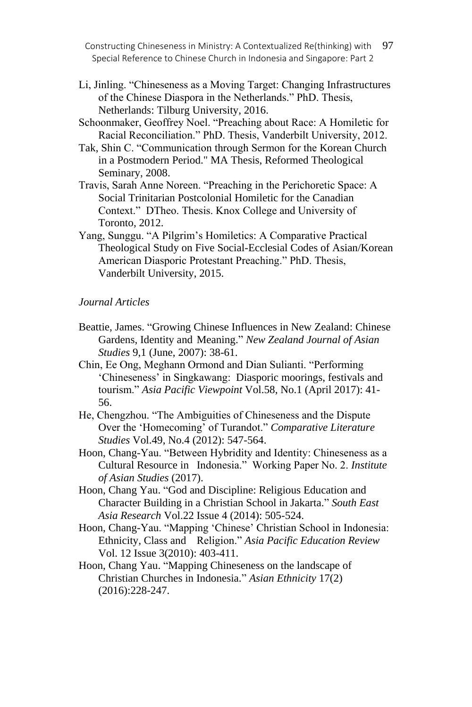Constructing Chineseness in Ministry: A Contextualized Re(thinking) with 97 Special Reference to Chinese Church in Indonesia and Singapore: Part 2

- Li, Jinling. "Chineseness as a Moving Target: Changing Infrastructures of the Chinese Diaspora in the Netherlands." PhD. Thesis, Netherlands: Tilburg University, 2016.
- Schoonmaker, Geoffrey Noel. "Preaching about Race: A Homiletic for Racial Reconciliation." PhD. Thesis, Vanderbilt University, 2012.
- Tak, Shin C. "Communication through Sermon for the Korean Church in a Postmodern Period." MA Thesis, Reformed Theological Seminary, 2008.
- Travis, Sarah Anne Noreen. "Preaching in the Perichoretic Space: A Social Trinitarian Postcolonial Homiletic for the Canadian Context." DTheo. Thesis. Knox College and University of Toronto, 2012.
- Yang, Sunggu. "A Pilgrim's Homiletics: A Comparative Practical Theological Study on Five Social-Ecclesial Codes of Asian/Korean American Diasporic Protestant Preaching." PhD. Thesis, Vanderbilt University, 2015.

### *Journal Articles*

- Beattie, James. "Growing Chinese Influences in New Zealand: Chinese Gardens, Identity and Meaning." *New Zealand Journal of Asian Studies* 9,1 (June, 2007): 38-61.
- Chin, Ee Ong, Meghann Ormond and Dian Sulianti. "Performing 'Chineseness' in Singkawang: Diasporic moorings, festivals and tourism." *Asia Pacific Viewpoint* Vol.58, No.1 (April 2017): 41- 56.
- He, Chengzhou. "The Ambiguities of Chineseness and the Dispute Over the 'Homecoming' of Turandot." *Comparative Literature Studies* Vol.49, No.4 (2012): 547-564.
- Hoon, Chang-Yau. "Between Hybridity and Identity: Chineseness as a Cultural Resource in Indonesia." Working Paper No. 2. *Institute of Asian Studies* (2017).
- Hoon, Chang Yau. "God and Discipline: Religious Education and Character Building in a Christian School in Jakarta." *South East Asia Research* Vol.22 Issue 4 (2014): 505-524.
- Hoon, Chang-Yau. "Mapping 'Chinese' Christian School in Indonesia: Ethnicity, Class and Religion." *Asia Pacific Education Review* Vol. 12 Issue 3(2010): 403-411.
- Hoon, Chang Yau. "Mapping Chineseness on the landscape of Christian Churches in Indonesia." *Asian Ethnicity* 17(2) (2016):228-247.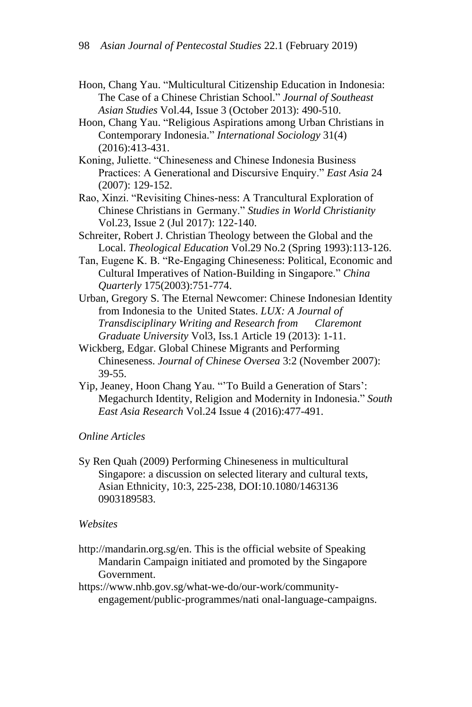- Hoon, Chang Yau. "Multicultural Citizenship Education in Indonesia: The Case of a Chinese Christian School." *Journal of Southeast Asian Studies* Vol.44, Issue 3 (October 2013): 490-510.
- Hoon, Chang Yau. "Religious Aspirations among Urban Christians in Contemporary Indonesia." *International Sociology* 31(4) (2016):413-431.
- Koning, Juliette. "Chineseness and Chinese Indonesia Business Practices: A Generational and Discursive Enquiry." *East Asia* 24 (2007): 129-152.
- Rao, Xinzi. "Revisiting Chines-ness: A Trancultural Exploration of Chinese Christians in Germany." *Studies in World Christianity* Vol.23, Issue 2 (Jul 2017): 122-140.
- Schreiter, Robert J. Christian Theology between the Global and the Local. *Theological Education* Vol.29 No.2 (Spring 1993):113-126.
- Tan, Eugene K. B. "Re-Engaging Chineseness: Political, Economic and Cultural Imperatives of Nation-Building in Singapore." *China Quarterly* 175(2003):751-774.
- Urban, Gregory S. The Eternal Newcomer: Chinese Indonesian Identity from Indonesia to the United States. *LUX: A Journal of Transdisciplinary Writing and Research from Claremont Graduate University* Vol3, Iss.1 Article 19 (2013): 1-11.
- Wickberg, Edgar. Global Chinese Migrants and Performing Chineseness. *Journal of Chinese Oversea* 3:2 (November 2007): 39-55.
- Yip, Jeaney, Hoon Chang Yau. "'To Build a Generation of Stars': Megachurch Identity, Religion and Modernity in Indonesia." *South East Asia Research* Vol.24 Issue 4 (2016):477-491.

## *Online Articles*

Sy Ren Quah (2009) Performing Chineseness in multicultural Singapore: a discussion on selected literary and cultural texts, Asian Ethnicity, 10:3, 225-238, DOI:10.1080/1463136 0903189583.

## *Websites*

- http://mandarin.org.sg/en. This is the official website of Speaking Mandarin Campaign initiated and promoted by the Singapore Government.
- https://www.nhb.gov.sg/what-we-do/our-work/communityengagement/public-programmes/nati onal-language-campaigns.